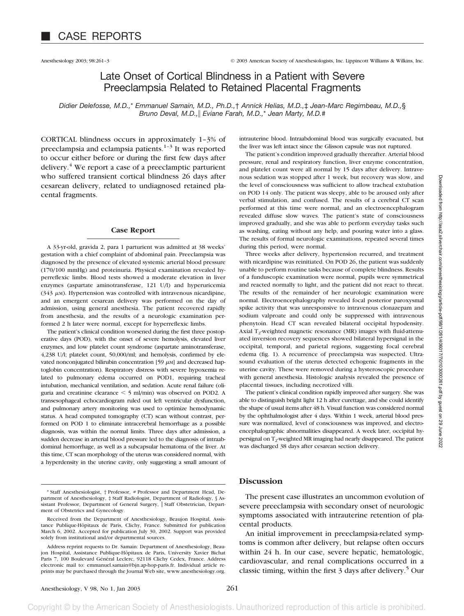# Late Onset of Cortical Blindness in a Patient with Severe Preeclampsia Related to Retained Placental Fragments

*Didier Delefosse, M.D.,*\* *Emmanuel Samain, M.D., Ph.D.,*† *Annick Helias, M.D.,*‡ *Jean-Marc Regimbeau, M.D.,*§ *Bruno Deval, M.D., Eviane Farah, M.D.,*\* *Jean Marty, M.D.*#

CORTICAL blindness occurs in approximately 1–3% of preeclampsia and eclampsia patients.<sup>1-3</sup> It was reported to occur either before or during the first few days after delivery.4 We report a case of a preeclamptic parturient who suffered transient cortical blindness 26 days after cesarean delivery, related to undiagnosed retained placental fragments.

### **Case Report**

A 33-yr-old, gravida 2, para 1 parturient was admitted at 38 weeks' gestation with a chief complaint of abdominal pain. Preeclampsia was diagnosed by the presence of elevated systemic arterial blood pressure (170/100 mmHg) and proteinuria. Physical examination revealed hyperreflexic limbs. Blood tests showed a moderate elevation in liver enzymes (aspartate aminotransferase, 121 U/l) and hyperuricemia  $(343 \mu)$ . Hypertension was controlled with intravenous nicardipine, and an emergent cesarean delivery was performed on the day of admission, using general anesthesia. The patient recovered rapidly from anesthesia, and the results of a neurologic examination performed 2 h later were normal, except for hyperreflexic limbs.

The patient's clinical condition worsened during the first three postoperative days (POD), with the onset of severe hemolysis, elevated liver enzymes, and low platelet count syndrome (aspartate aminotransferase, 4,238 U/l; platelet count, 50,000/ml; and hemolysis, confirmed by elevated nonconjugated bilirubin concentration [59  $\mu$ M] and decreased haptoglobin concentration). Respiratory distress with severe hypoxemia related to pulmonary edema occurred on POD1, requiring tracheal intubation, mechanical ventilation, and sedation. Acute renal failure (oliguria and creatinine clearance 5 ml/min) was observed on POD2. A transesophageal echocardiogram ruled out left ventricular dysfunction, and pulmonary artery monitoring was used to optimize hemodynamic status. A head computed tomography (CT) scan without contrast, performed on POD 1 to eliminate intracerebral hemorrhage as a possible diagnosis, was within the normal limits. Three days after admission, a sudden decrease in arterial blood pressure led to the diagnosis of intraabdominal hemorrhage, as well as a subcapsular hematoma of the liver. At this time, CT scan morphology of the uterus was considered normal, with a hyperdensity in the uterine cavity, only suggesting a small amount of

intrauterine blood. Intraabdominal blood was surgically evacuated, but the liver was left intact since the Glisson capsule was not ruptured.

The patient's condition improved gradually thereafter. Arterial blood pressure, renal and respiratory function, liver enzyme concentration, and platelet count were all normal by 15 days after delivery. Intravenous sedation was stopped after 1 week, but recovery was slow, and the level of consciousness was sufficient to allow tracheal extubation on POD 14 only. The patient was sleepy, able to be aroused only after verbal stimulation, and confused. The results of a cerebral CT scan performed at this time were normal, and an electroencephalogram revealed diffuse slow waves. The patient's state of consciousness improved gradually, and she was able to perform everyday tasks such as washing, eating without any help, and pouring water into a glass. The results of formal neurologic examinations, repeated several times during this period, were normal.

Three weeks after delivery, hypertension recurred, and treatment with nicardipine was reinitiated. On POD 26, the patient was suddenly unable to perform routine tasks because of complete blindness. Results of a funduscopic examination were normal, pupils were symmetrical and reacted normally to light, and the patient did not react to threat. The results of the remainder of her neurologic examination were normal. Electroencephalography revealed focal posterior paroxysmal spike activity that was unresponsive to intravenous clonazepam and sodium valproate and could only be suppressed with intravenous phenytoin. Head CT scan revealed bilateral occipital hypodensity. Axial  $T_2$ -weighted magnetic resonance (MR) images with fluid-attenuated inversion recovery sequences showed bilateral hypersignal in the occipital, temporal, and parietal regions, suggesting focal cerebral edema (fig. 1). A recurrence of preeclampsia was suspected. Ultrasound evaluation of the uterus detected echogenic fragments in the uterine cavity. These were removed during a hysteroscopic procedure with general anesthesia. Histologic analysis revealed the presence of placental tissues, including necrotized villi.

The patient's clinical condition rapidly improved after surgery. She was able to distinguish bright light 12 h after curettage, and she could identify the shape of usual items after 48 h. Visual function was considered normal by the ophthalmologist after 4 days. Within 1 week, arterial blood pressure was normalized, level of consciousness was improved, and electroencephalographic abnormalities disappeared. A week later, occipital hypersignal on T<sub>2</sub>-weighted MR imaging had nearly disappeared. The patient was discharged 38 days after cesarean section delivery.

## **Discussion**

The present case illustrates an uncommon evolution of severe preeclampsia with secondary onset of neurologic symptoms associated with intrauterine retention of placental products.

An initial improvement in preeclampsia-related symptoms is common after delivery, but relapse often occurs within 24 h. In our case, severe hepatic, hematologic, cardiovascular, and renal complications occurred in a classic timing, within the first  $3$  days after delivery.<sup>5</sup> Our

pyright © by the American Society of Anesthesiologists. Unauthorized reproduction of this article is prohibited

<sup>\*</sup> Staff Anesthesiologist, † Professor, # Professor and Department Head, Department of Anesthesiology, ‡ Staff Radiologist, Department of Radiology, § Assistant Professor, Department of General Surgery, || Staff Obstetrician, Department of Obstetrics and Gynecology.

Received from the Department of Anesthesiology, Beaujon Hospital, Assistance Publique-Hôpitaux de Paris, Clichy, France. Submitted for publication March 6, 2002. Accepted for publication July 30, 2002. Support was provided solely from institutional and/or departmental sources.

Address reprint requests to Dr. Samain: Department of Anesthesiology, Beaujon Hospital, Assistance Publique-Hôpitaux de Paris, University Xavier Bichat Paris 7, 100 Boulevard Général Leclerc, 92118 Clichy Cedex, France. Address electronic mail to: emmanuel.samain@bjn.ap-hop-paris.fr. Individual article reprints may be purchased through the Journal Web site, www.anesthesiology.org.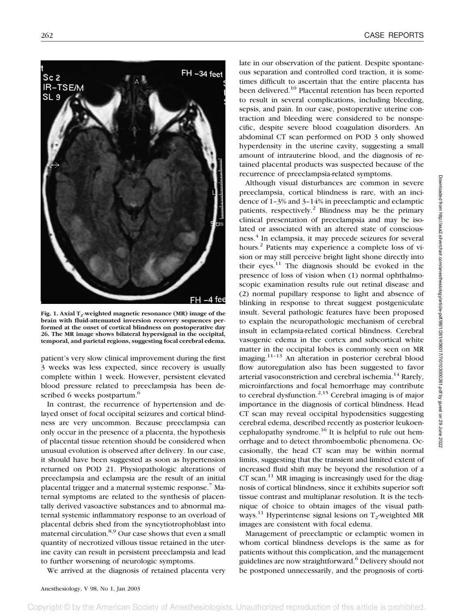

Fig. 1. Axial T<sub>2</sub>-weighted magnetic resonance (MR) image of the **brain with fluid-attenuated inversion recovery sequences performed at the onset of cortical blindness on postoperative day 26. The MR image shows bilateral hypersignal in the occipital, temporal, and parietal regions, suggesting focal cerebral edema.**

patient's very slow clinical improvement during the first 3 weeks was less expected, since recovery is usually complete within 1 week. However, persistent elevated blood pressure related to preeclampsia has been described 6 weeks postpartum.<sup>6</sup>

In contrast, the recurrence of hypertension and delayed onset of focal occipital seizures and cortical blindness are very uncommon. Because preeclampsia can only occur in the presence of a placenta, the hypothesis of placental tissue retention should be considered when unusual evolution is observed after delivery. In our case, it should have been suggested as soon as hypertension returned on POD 21. Physiopathologic alterations of preeclampsia and eclampsia are the result of an initial placental trigger and a maternal systemic response.7 Maternal symptoms are related to the synthesis of placentally derived vasoactive substances and to abnormal maternal systemic inflammatory response to an overload of placental debris shed from the syncytiotrophoblast into maternal circulation.8,9 Our case shows that even a small quantity of necrotized villous tissue retained in the uterine cavity can result in persistent preeclampsia and lead to further worsening of neurologic symptoms.

We arrived at the diagnosis of retained placenta very

late in our observation of the patient. Despite spontaneous separation and controlled cord traction, it is sometimes difficult to ascertain that the entire placenta has been delivered.<sup>10</sup> Placental retention has been reported to result in several complications, including bleeding, sepsis, and pain. In our case, postoperative uterine contraction and bleeding were considered to be nonspecific, despite severe blood coagulation disorders. An abdominal CT scan performed on POD 3 only showed hyperdensity in the uterine cavity, suggesting a small amount of intrauterine blood, and the diagnosis of retained placental products was suspected because of the recurrence of preeclampsia-related symptoms.

Although visual disturbances are common in severe preeclampsia, cortical blindness is rare, with an incidence of 1–3% and 3–14% in preeclamptic and eclamptic patients, respectively.<sup>2</sup> Blindness may be the primary clinical presentation of preeclampsia and may be isolated or associated with an altered state of consciousness.4 In eclampsia, it may precede seizures for several hours.<sup>2</sup> Patients may experience a complete loss of vision or may still perceive bright light shone directly into their eyes. $11$  The diagnosis should be evoked in the presence of loss of vision when (1) normal ophthalmoscopic examination results rule out retinal disease and (2) normal pupillary response to light and absence of blinking in response to threat suggest postgeniculate insult. Several pathologic features have been proposed to explain the neuropathologic mechanism of cerebral insult in eclampsia-related cortical blindness. Cerebral vasogenic edema in the cortex and subcortical white matter in the occipital lobes is commonly seen on MR imaging. $11-13$  An alteration in posterior cerebral blood flow autoregulation also has been suggested to favor arterial vasoconstriction and cerebral ischemia.<sup>14</sup> Rarely, microinfarctions and focal hemorrhage may contribute to cerebral dysfunction.<sup>2,15</sup> Cerebral imaging is of major importance in the diagnosis of cortical blindness. Head CT scan may reveal occipital hypodensities suggesting cerebral edema, described recently as posterior leukoencephalopathy syndrome.<sup>16</sup> It is helpful to rule out hemorrhage and to detect thromboembolic phenomena. Occasionally, the head CT scan may be within normal limits, suggesting that the transient and limited extent of increased fluid shift may be beyond the resolution of a  $CT$  scan.<sup>11</sup> MR imaging is increasingly used for the diagnosis of cortical blindness, since it exhibits superior soft tissue contrast and multiplanar resolution. It is the technique of choice to obtain images of the visual pathways.<sup>11</sup> Hyperintense signal lesions on  $T_2$ -weighted MR images are consistent with focal edema.

Management of preeclamptic or eclamptic women in whom cortical blindness develops is the same as for patients without this complication, and the management guidelines are now straightforward.<sup>6</sup> Delivery should not be postponed unnecessarily, and the prognosis of corti-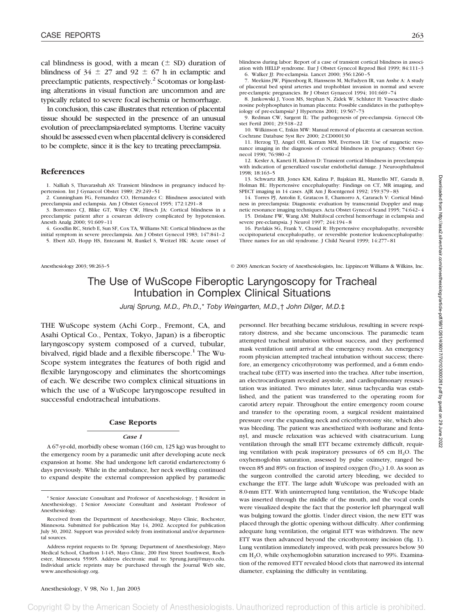cal blindness is good, with a mean  $(\pm$  SD) duration of blindness of  $34 \pm 27$  and  $92 \pm 67$  h in eclamptic and preeclamptic patients, respectively.2 Scotomas or long-lasting alterations in visual function are uncommon and are typically related to severe focal ischemia or hemorrhage.

In conclusion, this case illustrates that retention of placental tissue should be suspected in the presence of an unusual evolution of preeclampsia-related symptoms. Uterine vacuity should be assessed even when placental delivery is considered to be complete, since it is the key to treating preeclampsia.

### **References**

1. Nalliah S, Thavarashah AS: Transient blindness in pregnancy induced hypertension. Int J Gynaecol Obstet 1989; 29:249–51

2. Cunningham FG, Fernandez CO, Hernandez C: Blindness associated with preeclampsia and eclampsia. Am J Obstet Gynecol 1995; 172:1291–8

3. Borromeo CJ, Blike GT, Wiley CW, Hirsch JA: Cortical blindness in a preeclamptic patient after a cesarean delivery complicated by hypotension. Anesth Analg 2000; 91:609–11

4. Goodlin RC, Strieb E, Sun SF, Cox TA, Williams NE: Cortical blindness as the initial symptom in severe preeclampsia. Am J Obstet Gynecol 1983; 147:841–2 5. Ebert AD, Hopp HS, Entezami M, Runkel S, Weitzel HK: Acute onset of

blindness during labor: Report of a case of transient cortical blindness in association with HELLP syndrome. Eur J Obstet Gynecol Reprod Biol 1999; 84:111–3

6. Walker JJ: Pre-eclampsia. Lancet 2000; 356:1260–5

7. Meekins JW, Pijnenborg R, Hanssens M, McFadyen IR, van Asshe A: A study of placental bed spiral arteries and trophoblast invasion in normal and severe pre-eclamptic pregnancies. Br J Obstet Gynaecol 1994; 101:669–74

8. Jankowski J, Yoon MS, Stephan N, Zidek W, Schluter H: Vasoactive diadenosine polyphosphates in human placenta: Possible candidates in the pathophysiology of pre-eclampsia? J Hypertens 2001; 19:567–73

9. Redman CW, Sargent IL: The pathogenesis of pre-eclampsia. Gynecol Obstet Fertil 2001; 29:518–22

10. Wilkinson C, Enkin MW: Manual removal of placenta at caesarean section. Cochrane Database Syst Rev 2000; 2:CD000130

11. Herzog TJ, Angel OH, Karram MM, Evertson LR: Use of magnetic resonance imaging in the diagnosis of cortical blindness in pregnancy. Obstet Gynecol 1990; 76:980–2

12. Kesler A, Kaneti H, Kidron D: Transient cortical blindness in preeclampsia with indication of generalized vascular endothelial damage. J Neuroophthalmol 1998; 18:163–5

13. Schwartz RB, Jones KM, Kalina P, Bajakian RL, Mantello MT, Garada B, Holman BL: Hypertensive encephalopathy: Findings on CT, MR imaging, and SPECT imaging in 14 cases. AJR Am J Roentgenol 1992; 159:379–83

14. Torres PJ, Antolin E, Gratacos E, Chamorro A, Cararach V: Cortical blindness in preeclampsia: Diagnostic evaluation by transcranial Doppler and magnetic resonance imaging techniques. Acta Obstet Gynecol Scand 1995; 74:642–4

15. Drislane FW, Wang AM: Multifocal cerebral hemorrhage in eclampsia and severe pre-eclampsia. J Neurol 1997; 244:194–8

16. Pavlakis SG, Frank Y, Chusid R: Hypertensive encephalopathy, reversible occipitoparietal encephalopathy, or reversible posterior leukoencephalopathy: Three names for an old syndrome. J Child Neurol 1999; 14:277–81

Anesthesiology 2003; 98:263–5 © 2003 American Society of Anesthesiologists, Inc. Lippincott Williams & Wilkins, Inc.

# The Use of WuScope Fiberoptic Laryngoscopy for Tracheal Intubation in Complex Clinical Situations

*Juraj Sprung, M.D., Ph.D.,*\* *Toby Weingarten, M.D.,*† *John Dilger, M.D.*‡

THE WuScope system (Achi Corp., Fremont, CA, and Asahi Optical Co., Pentax, Tokyo, Japan) is a fiberoptic laryngoscopy system composed of a curved, tubular, bivalved, rigid blade and a flexible fiberscope.<sup>1</sup> The Wu-Scope system integrates the features of both rigid and flexible laryngoscopy and eliminates the shortcomings of each. We describe two complex clinical situations in which the use of a WuScope laryngoscope resulted in successful endotracheal intubations.

#### **Case Reports**

#### *Case 1*

A 67-yr-old, morbidly obese woman (160 cm, 125 kg) was brought to the emergency room by a paramedic unit after developing acute neck expansion at home. She had undergone left carotid endarterectomy 6 days previously. While in the ambulance, her neck swelling continued to expand despite the external compression applied by paramedic

\* Senior Associate Consultant and Professor of Anesthesiology, † Resident in Anesthesiology, ‡ Senior Associate Consultant and Assistant Professor of Anesthesiology.

personnel. Her breathing became stridulous, resulting in severe respiratory distress, and she became unconscious. The paramedic team attempted tracheal intubation without success, and they performed mask ventilation until arrival at the emergency room. An emergency room physician attempted tracheal intubation without success; therefore, an emergency cricothyrotomy was performed, and a 6-mm endotracheal tube (ETT) was inserted into the trachea. After tube insertion, an electrocardiogram revealed asystole, and cardiopulmonary resuscitation was initiated. Two minutes later, sinus tachycardia was established, and the patient was transferred to the operating room for carotid artery repair. Throughout the entire emergency room course and transfer to the operating room, a surgical resident maintained pressure over the expanding neck and cricothyrotomy site, which also was bleeding. The patient was anesthetized with isoflurane and fentanyl, and muscle relaxation was achieved with cisatracurium. Lung ventilation through the small ETT became extremely difficult, requiring ventilation with peak inspiratory pressures of  $65$  cm  $H<sub>2</sub>O$ . The oxyhemoglobin saturation, assessed by pulse oximetry, ranged between 85 and 89% on fraction of inspired oxygen (FIO<sub>2</sub>) 1.0. As soon as the surgeon controlled the carotid artery bleeding, we decided to exchange the ETT. The large adult WuScope was preloaded with an 8.0-mm ETT. With uninterrupted lung ventilation, the WuScope blade was inserted through the middle of the mouth, and the vocal cords were visualized despite the fact that the posterior left pharyngeal wall was bulging toward the glottis. Under direct vision, the new ETT was placed through the glottic opening without difficulty. After confirming adequate lung ventilation, the original ETT was withdrawn. The new ETT was then advanced beyond the cricothyrotomy incision (fig. 1). Lung ventilation immediately improved, with peak pressures below 30 cm H2O, while oxyhemoglobin saturation increased to 99%. Examination of the removed ETT revealed blood clots that narrowed its internal diameter, explaining the difficulty in ventilating.

Convright © by the American Society of Anesthesiologists. Unauthorized reproduction of this article is prohibited

Received from the Department of Anesthesiology, Mayo Clinic, Rochester, Minnesota. Submitted for publication May 14, 2002. Accepted for publication July 30, 2002. Support was provided solely from institutional and/or departmental sources.

Address reprint requests to Dr. Sprung: Department of Anesthesiology, Mayo Medical School, Charlton 1-145, Mayo Clinic, 200 First Street Southwest, Rochester, Minnesota 55905. Address electronic mail to: Sprung.juraj@mayo.edu. Individual article reprints may be purchased through the Journal Web site, www.anesthesiology.org.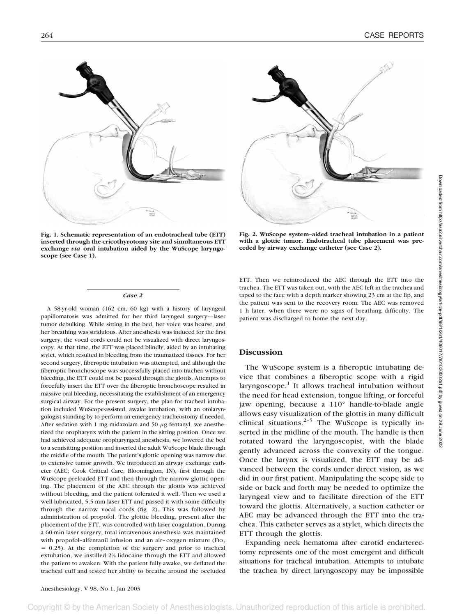

**Fig. 1. Schematic representation of an endotracheal tube (ETT) inserted through the cricothyrotomy site and simultaneous ETT exchange** *via* **oral intubation aided by the WuScope laryngoscope (see Case 1).**



**Fig. 2. WuScope system–aided tracheal intubation in a patient with a glottic tumor. Endotracheal tube placement was preceded by airway exchange catheter (see Case 2).**

#### *Case 2*

A 58-yr-old woman (162 cm, 60 kg) with a history of laryngeal papillomatosis was admitted for her third laryngeal surgery—laser tumor debulking. While sitting in the bed, her voice was hoarse, and her breathing was stridulous. After anesthesia was induced for the first surgery, the vocal cords could not be visualized with direct laryngoscopy. At that time, the ETT was placed blindly, aided by an intubating stylet, which resulted in bleeding from the traumatized tissues. For her second surgery, fiberoptic intubation was attempted, and although the fiberoptic bronchoscope was successfully placed into trachea without bleeding, the ETT could not be passed through the glottis. Attempts to forcefully insert the ETT over the fiberoptic bronchoscope resulted in massive oral bleeding, necessitating the establishment of an emergency surgical airway. For the present surgery, the plan for tracheal intubation included WuScope-assisted, awake intubation, with an otolaryngologist standing by to perform an emergency tracheostomy if needed. After sedation with 1 mg midazolam and 50  $\mu$ g fentanyl, we anesthetized the oropharynx with the patient in the sitting position. Once we had achieved adequate oropharyngeal anesthesia, we lowered the bed to a semisitting position and inserted the adult WuScope blade through the middle of the mouth. The patient's glottic opening was narrow due to extensive tumor growth. We introduced an airway exchange catheter (AEC; Cook Critical Care, Bloomington, IN), first through the WuScope preloaded ETT and then through the narrow glottic opening. The placement of the AEC through the glottis was achieved without bleeding, and the patient tolerated it well. Then we used a well-lubricated, 5.5-mm laser ETT and passed it with some difficulty through the narrow vocal cords (fig. 2). This was followed by administration of propofol. The glottic bleeding, present after the placement of the ETT, was controlled with laser coagulation. During a 60-min laser surgery, total intravenous anesthesia was maintained with propofol-alfentanil infusion and an air-oxygen mixture  $(F10<sub>2</sub>)$  $= 0.25$ ). At the completion of the surgery and prior to tracheal extubation, we instilled 2% lidocaine through the ETT and allowed the patient to awaken. With the patient fully awake, we deflated the tracheal cuff and tested her ability to breathe around the occluded ETT. Then we reintroduced the AEC through the ETT into the trachea. The ETT was taken out, with the AEC left in the trachea and taped to the face with a depth marker showing 23 cm at the lip, and the patient was sent to the recovery room. The AEC was removed 1 h later, when there were no signs of breathing difficulty. The patient was discharged to home the next day.

## **Discussion**

The WuScope system is a fiberoptic intubating device that combines a fiberoptic scope with a rigid  $laryngoscope.<sup>1</sup>$  It allows tracheal intubation without the need for head extension, tongue lifting, or forceful jaw opening, because a 110° handle-to-blade angle allows easy visualization of the glottis in many difficult clinical situations. $2-5$  The WuScope is typically inserted in the midline of the mouth. The handle is then rotated toward the laryngoscopist, with the blade gently advanced across the convexity of the tongue. Once the larynx is visualized, the ETT may be advanced between the cords under direct vision, as we did in our first patient. Manipulating the scope side to side or back and forth may be needed to optimize the laryngeal view and to facilitate direction of the ETT toward the glottis. Alternatively, a suction catheter or AEC may be advanced through the ETT into the trachea. This catheter serves as a stylet, which directs the ETT through the glottis.

Expanding neck hematoma after carotid endarterectomy represents one of the most emergent and difficult situations for tracheal intubation. Attempts to intubate the trachea by direct laryngoscopy may be impossible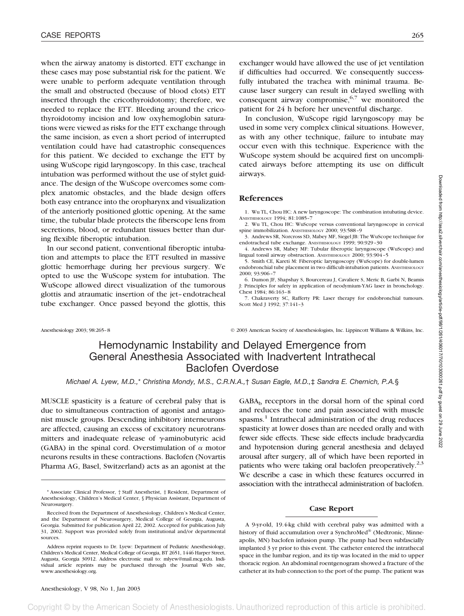when the airway anatomy is distorted. ETT exchange in these cases may pose substantial risk for the patient. We were unable to perform adequate ventilation through the small and obstructed (because of blood clots) ETT inserted through the cricothyroidotomy; therefore, we needed to replace the ETT. Bleeding around the cricothyroidotomy incision and low oxyhemoglobin saturations were viewed as risks for the ETT exchange through the same incision, as even a short period of interrupted ventilation could have had catastrophic consequences for this patient. We decided to exchange the ETT by using WuScope rigid laryngoscopy. In this case, tracheal intubation was performed without the use of stylet guidance. The design of the WuScope overcomes some complex anatomic obstacles, and the blade design offers both easy entrance into the oropharynx and visualization of the anteriorly positioned glottic opening. At the same time, the tubular blade protects the fiberscope lens from secretions, blood, or redundant tissues better than during flexible fiberoptic intubation.

In our second patient, conventional fiberoptic intubation and attempts to place the ETT resulted in massive glottic hemorrhage during her previous surgery. We opted to use the WuScope system for intubation. The WuScope allowed direct visualization of the tumorous glottis and atraumatic insertion of the jet–endotracheal tube exchanger. Once passed beyond the glottis, this exchanger would have allowed the use of jet ventilation if difficulties had occurred. We consequently successfully intubated the trachea with minimal trauma. Because laser surgery can result in delayed swelling with consequent airway compromise,  $6,7$  we monitored the patient for 24 h before her uneventful discharge.

In conclusion, WuScope rigid laryngoscopy may be used in some very complex clinical situations. However, as with any other technique, failure to intubate may occur even with this technique. Experience with the WuScope system should be acquired first on uncomplicated airways before attempting its use on difficult airways.

### **References**

- 1. Wu TL, Chou HC: A new laryngoscope: The combination intubating device. ANESTHESIOLOGY 1994; 81:1085–7
- 2. Wu TL, Chou HC: WuScope versus conventional laryngoscope in cervical spine immobilization. ANESTHESIOLOGY 2000; 93:588–9
- 3. Andrews SR, Norcross SD, Mabey MF, Siegel JB: The WuScope technique for endotracheal tube exchange. ANESTHESIOLOGY 1999; 90:929–30
- 4. Andrews SR, Mabey MF: Tubular fiberoptic laryngoscope (WuScope) and lingual tonsil airway obstruction. ANESTHESIOLOGY 2000; 93:904–5

5. Smith CE, Kareti M: Fiberoptic laryngoscopy (WuScope) for double-lumen endobronchial tube placement in two difficult-intubation patients. ANESTHESIOLOGY 2000; 93:906–7

6. Dumon JF, Shapshay S, Bourcereau J, Cavaliere S, Meric B, Garbi N, Beamis J: Principles for safety in application of neodymium-YAG laser in bronchology. Chest 1984; 86:163–8

7. Chakraverty SC, Rafferty PR: Laser therapy for endobronchial tumours. Scott Med J 1992; 37:141–3

Anesthesiology 2003; 98:265–8 © 2003 American Society of Anesthesiologists, Inc. Lippincott Williams & Wilkins, Inc.

# Hemodynamic Instability and Delayed Emergence from General Anesthesia Associated with Inadvertent Intrathecal Baclofen Overdose

*Michael A. Lyew, M.D.,*\* *Christina Mondy, M.S., C.R.N.A.,*† *Susan Eagle, M.D.,*‡ *Sandra E. Chernich, P.A.*§

MUSCLE spasticity is a feature of cerebral palsy that is due to simultaneous contraction of agonist and antagonist muscle groups. Descending inhibitory interneurons are affected, causing an excess of excitatory neurotransmitters and inadequate release of  $\gamma$ -aminobutyric acid (GABA) in the spinal cord. Overstimulation of  $\alpha$  motor neurons results in these contractions. Baclofen (Novartis Pharma AG, Basel, Switzerland) acts as an agonist at the  $GABA_b$  receptors in the dorsal horn of the spinal cord and reduces the tone and pain associated with muscle spasms.<sup>1</sup> Intrathecal administration of the drug reduces spasticity at lower doses than are needed orally and with fewer side effects. These side effects include bradycardia and hypotension during general anesthesia and delayed arousal after surgery, all of which have been reported in patients who were taking oral baclofen preoperatively.<sup>2,3</sup> We describe a case in which these features occurred in association with the intrathecal administration of baclofen.

### **Case Report**

A 9-yr-old, 19.4-kg child with cerebral palsy was admitted with a history of fluid accumulation over a SynchroMed® (Medtronic, Minneapolis, MN) baclofen infusion pump. The pump had been subfascially implanted 3 yr prior to this event. The catheter entered the intrathecal space in the lumbar region, and its tip was located in the mid to upper thoracic region. An abdominal roentgenogram showed a fracture of the catheter at its hub connection to the port of the pump. The patient was

<sup>\*</sup> Associate Clinical Professor, † Staff Anesthetist, ‡ Resident, Department of Anesthesiology, Children's Medical Center, § Physician Assistant, Department of Neurosurgery.

Received from the Department of Anesthesiology, Children's Medical Center, and the Department of Neurosurgery, Medical College of Georgia, Augusta, Georgia. Submitted for publication April 22, 2002. Accepted for publication July 31, 2002. Support was provided solely from institutional and/or departmental sources.

Address reprint requests to Dr. Lyew: Department of Pediatric Anesthesiology, Children's Medical Center, Medical College of Georgia, BT 2651, 1446 Harper Street, Augusta, Georgia 30912. Address electronic mail to: mlyew@mail.mcg.edu. Individual article reprints may be purchased through the Journal Web site, www.anesthesiology.org.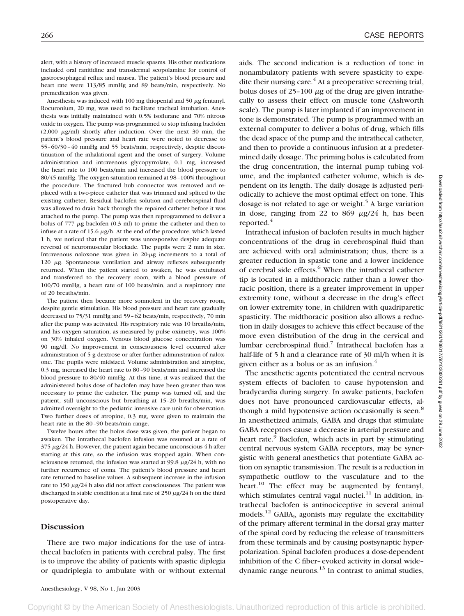alert, with a history of increased muscle spasms. His other medications included oral ranitidine and transdermal scopolamine for control of gastroesophageal reflux and nausea. The patient's blood pressure and heart rate were 113/85 mmHg and 89 beats/min, respectively. No premedication was given.

Anesthesia was induced with 100 mg thiopental and 50  $\mu$ g fentanyl. Rocuronium, 20 mg, was used to facilitate tracheal intubation. Anesthesia was initially maintained with 0.5% isoflurane and 70% nitrous oxide in oxygen. The pump was programmed to stop infusing baclofen  $(2,000 \mu g/ml)$  shortly after induction. Over the next 30 min, the patient's blood pressure and heart rate were noted to decrease to 55–60/30–40 mmHg and 55 beats/min, respectively, despite discontinuation of the inhalational agent and the onset of surgery. Volume administration and intravenous glycopyrrolate, 0.1 mg, increased the heart rate to 100 beats/min and increased the blood pressure to 80/45 mmHg. The oxygen saturation remained at 98–100% throughout the procedure. The fractured hub connector was removed and replaced with a two-piece catheter that was trimmed and spliced to the existing catheter. Residual baclofen solution and cerebrospinal fluid was allowed to drain back through the repaired catheter before it was attached to the pump. The pump was then reprogrammed to deliver a bolus of  $777 \mu g$  baclofen (0.3 ml) to prime the catheter and then to infuse at a rate of 15.6  $\mu$ g/h. At the end of the procedure, which lasted 1 h, we noticed that the patient was unresponsive despite adequate reversal of neuromuscular blockade. The pupils were 2 mm in size. Intravenous naloxone was given in  $20-\mu$ g increments to a total of  $120 \mu$ g. Spontaneous ventilation and airway reflexes subsequently returned. When the patient started to awaken, he was extubated and transferred to the recovery room, with a blood pressure of 100/70 mmHg, a heart rate of 100 beats/min, and a respiratory rate of 20 breaths/min.

The patient then became more somnolent in the recovery room, despite gentle stimulation. His blood pressure and heart rate gradually decreased to 75/31 mmHg and 59–62 beats/min, respectively, 70 min after the pump was activated. His respiratory rate was 10 breaths/min, and his oxygen saturation, as measured by pulse oximetry, was 100% on 30% inhaled oxygen. Venous blood glucose concentration was 90 mg/dl. No improvement in consciousness level occurred after administration of 5 g dextrose or after further administration of naloxone. The pupils were midsized. Volume administration and atropine, 0.3 mg, increased the heart rate to 80–90 beats/min and increased the blood pressure to 80/40 mmHg. At this time, it was realized that the administered bolus dose of baclofen may have been greater than was necessary to prime the catheter. The pump was turned off, and the patient, still unconscious but breathing at 15–20 breaths/min, was admitted overnight to the pediatric intensive care unit for observation. Two further doses of atropine, 0.3 mg, were given to maintain the heart rate in the 80–90 beats/min range.

Twelve hours after the bolus dose was given, the patient began to awaken. The intrathecal baclofen infusion was resumed at a rate of  $375 \mu g/24$  h. However, the patient again became unconscious 4 h after starting at this rate, so the infusion was stopped again. When consciousness returned, the infusion was started at  $99.8 \mu g/24$  h, with no further recurrence of coma. The patient's blood pressure and heart rate returned to baseline values. A subsequent increase in the infusion rate to 150  $\mu$ g/24 h also did not affect consciousness. The patient was discharged in stable condition at a final rate of 250  $\mu$ g/24 h on the third postoperative day.

### **Discussion**

There are two major indications for the use of intrathecal baclofen in patients with cerebral palsy. The first is to improve the ability of patients with spastic diplegia or quadriplegia to ambulate with or without external

aids. The second indication is a reduction of tone in nonambulatory patients with severe spasticity to expedite their nursing care. $4$  At a preoperative screening trial, bolus doses of  $25-100 \mu g$  of the drug are given intrathecally to assess their effect on muscle tone (Ashworth scale). The pump is later implanted if an improvement in tone is demonstrated. The pump is programmed with an external computer to deliver a bolus of drug, which fills the dead space of the pump and the intrathecal catheter, and then to provide a continuous infusion at a predetermined daily dosage. The priming bolus is calculated from the drug concentration, the internal pump tubing volume, and the implanted catheter volume, which is dependent on its length. The daily dosage is adjusted periodically to achieve the most optimal effect on tone. This dosage is not related to age or weight.<sup>5</sup> A large variation in dose, ranging from 22 to 869  $\mu$ g/24 h, has been reported.<sup>4</sup>

Intrathecal infusion of baclofen results in much higher concentrations of the drug in cerebrospinal fluid than are achieved with oral administration; thus, there is a greater reduction in spastic tone and a lower incidence of cerebral side effects.<sup>6</sup> When the intrathecal catheter tip is located in a midthoracic rather than a lower thoracic position, there is a greater improvement in upper extremity tone, without a decrease in the drug's effect on lower extremity tone, in children with quadriparetic spasticity. The midthoracic position also allows a reduction in daily dosages to achieve this effect because of the more even distribution of the drug in the cervical and lumbar cerebrospinal fluid.<sup>7</sup> Intrathecal baclofen has a half-life of 5 h and a clearance rate of 30 ml/h when it is given either as a bolus or as an infusion.<sup>4</sup>

The anesthetic agents potentiated the central nervous system effects of baclofen to cause hypotension and bradycardia during surgery. In awake patients, baclofen does not have pronounced cardiovascular effects, although a mild hypotensive action occasionally is seen.<sup>8</sup> In anesthetized animals, GABA and drugs that stimulate GABA receptors cause a decrease in arterial pressure and heart rate.<sup>9</sup> Baclofen, which acts in part by stimulating central nervous system GABA receptors, may be synergistic with general anesthetics that potentiate GABA action on synaptic transmission. The result is a reduction in sympathetic outflow to the vasculature and to the heart.<sup>10</sup> The effect may be augmented by fentanyl, which stimulates central vagal nuclei.<sup>11</sup> In addition, intrathecal baclofen is antinociceptive in several animal models.<sup>12</sup> GABA<sub>b</sub> agonists may regulate the excitability of the primary afferent terminal in the dorsal gray matter of the spinal cord by reducing the release of transmitters from these terminals and by causing postsynaptic hyperpolarization. Spinal baclofen produces a dose-dependent inhibition of the C fiber–evoked activity in dorsal wide– dynamic range neurons.<sup>13</sup> In contrast to animal studies,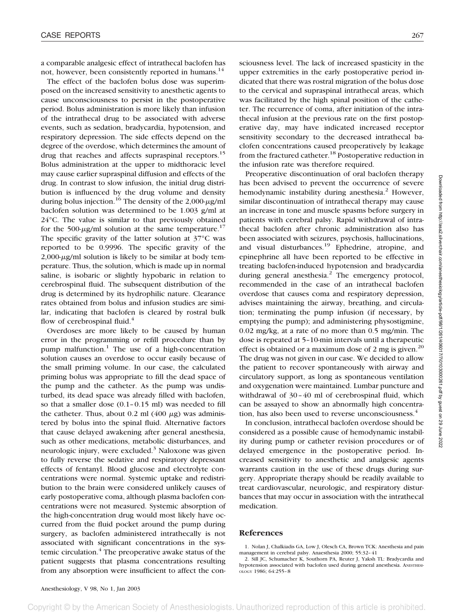a comparable analgesic effect of intrathecal baclofen has not, however, been consistently reported in humans.<sup>14</sup>

The effect of the baclofen bolus dose was superimposed on the increased sensitivity to anesthetic agents to cause unconsciousness to persist in the postoperative period. Bolus administration is more likely than infusion of the intrathecal drug to be associated with adverse events, such as sedation, bradycardia, hypotension, and respiratory depression. The side effects depend on the degree of the overdose, which determines the amount of drug that reaches and affects supraspinal receptors.<sup>15</sup> Bolus administration at the upper to midthoracic level may cause earlier supraspinal diffusion and effects of the drug. In contrast to slow infusion, the initial drug distribution is influenced by the drug volume and density during bolus injection.<sup>16</sup> The density of the 2,000- $\mu$ g/ml baclofen solution was determined to be 1.003 g/ml at 24°C. The value is similar to that previously obtained for the 500- $\mu$ g/ml solution at the same temperature.<sup>17</sup> The specific gravity of the latter solution at 37°C was reported to be 0.9996. The specific gravity of the  $2,000-\mu$ g/ml solution is likely to be similar at body temperature. Thus, the solution, which is made up in normal saline, is isobaric or slightly hypobaric in relation to cerebrospinal fluid. The subsequent distribution of the drug is determined by its hydrophilic nature. Clearance rates obtained from bolus and infusion studies are similar, indicating that baclofen is cleared by rostral bulk flow of cerebrospinal fluid. $4$ 

Overdoses are more likely to be caused by human error in the programming or refill procedure than by pump malfunction. $<sup>1</sup>$  The use of a high-concentration</sup> solution causes an overdose to occur easily because of the small priming volume. In our case, the calculated priming bolus was appropriate to fill the dead space of the pump and the catheter. As the pump was undisturbed, its dead space was already filled with baclofen, so that a smaller dose (0.1–0.15 ml) was needed to fill the catheter. Thus, about 0.2 ml  $(400 \mu g)$  was administered by bolus into the spinal fluid. Alternative factors that cause delayed awakening after general anesthesia, such as other medications, metabolic disturbances, and neurologic injury, were excluded. $3$  Naloxone was given to fully reverse the sedative and respiratory depressant effects of fentanyl. Blood glucose and electrolyte concentrations were normal. Systemic uptake and redistribution to the brain were considered unlikely causes of early postoperative coma, although plasma baclofen concentrations were not measured. Systemic absorption of the high-concentration drug would most likely have occurred from the fluid pocket around the pump during surgery, as baclofen administered intrathecally is not associated with significant concentrations in the systemic circulation.<sup>4</sup> The preoperative awake status of the patient suggests that plasma concentrations resulting from any absorption were insufficient to affect the con-

sciousness level. The lack of increased spasticity in the upper extremities in the early postoperative period indicated that there was rostral migration of the bolus dose to the cervical and supraspinal intrathecal areas, which was facilitated by the high spinal position of the catheter. The recurrence of coma, after initiation of the intrathecal infusion at the previous rate on the first postoperative day, may have indicated increased receptor sensitivity secondary to the decreased intrathecal baclofen concentrations caused preoperatively by leakage from the fractured catheter.<sup>18</sup> Postoperative reduction in the infusion rate was therefore required.

Preoperative discontinuation of oral baclofen therapy has been advised to prevent the occurrence of severe hemodynamic instability during anesthesia.<sup>2</sup> However, similar discontinuation of intrathecal therapy may cause an increase in tone and muscle spasms before surgery in patients with cerebral palsy. Rapid withdrawal of intrathecal baclofen after chronic administration also has been associated with seizures, psychosis, hallucinations, and visual disturbances.<sup>19</sup> Ephedrine, atropine, and epinephrine all have been reported to be effective in treating baclofen-induced hypotension and bradycardia during general anesthesia. $<sup>2</sup>$  The emergency protocol,</sup> recommended in the case of an intrathecal baclofen overdose that causes coma and respiratory depression, advises maintaining the airway, breathing, and circulation; terminating the pump infusion (if necessary, by emptying the pump); and administering physostigmine, 0.02 mg/kg, at a rate of no more than 0.5 mg/min. The dose is repeated at 5–10-min intervals until a therapeutic effect is obtained or a maximum dose of 2 mg is given.<sup>20</sup> The drug was not given in our case. We decided to allow the patient to recover spontaneously with airway and circulatory support, as long as spontaneous ventilation and oxygenation were maintained. Lumbar puncture and withdrawal of 30–40 ml of cerebrospinal fluid, which can be assayed to show an abnormally high concentration, has also been used to reverse unconsciousness.<sup>4</sup>

In conclusion, intrathecal baclofen overdose should be considered as a possible cause of hemodynamic instability during pump or catheter revision procedures or of delayed emergence in the postoperative period. Increased sensitivity to anesthetic and analgesic agents warrants caution in the use of these drugs during surgery. Appropriate therapy should be readily available to treat cardiovascular, neurologic, and respiratory disturbances that may occur in association with the intrathecal medication.

## **References**

pyright © American Society of Anesthesiologists. Unauthorized reproduction of this article is prohibited

<sup>1.</sup> Nolan J, Chalkiadis GA, Low J, Olesch CA, Brown TCK: Anesthesia and pain management in cerebral palsy. Anaesthesia 2000; 55:32–41

<sup>2.</sup> Sill JC, Schumacher K, Southorn PA, Reuter J, Yaksh TL: Bradycardia and hypotension associated with baclofen used during general anesthesia. ANESTHESI-OLOGY 1986; 64:255–8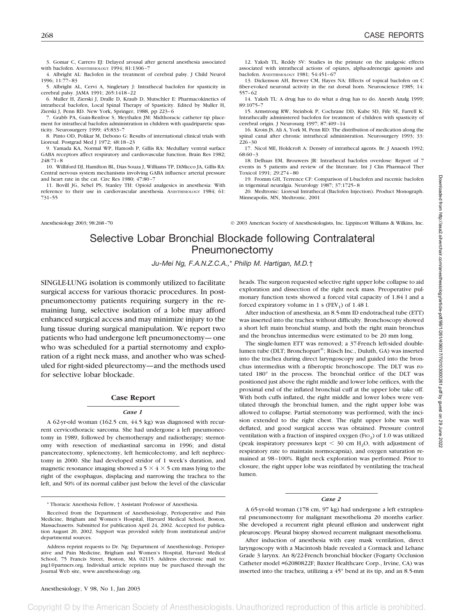3. Gomar C, Carrero EJ: Delayed arousal after general anesthesia associated with baclofen. ANESTHESIOLOGY 1994; 81:1306-7

4. Albright AL: Baclofen in the treatment of cerebral palsy. J Child Neurol 1996; 11:77–83

5. Albright AL, Cervi A, Singletary J: Intrathecal baclofen for spasticity in cerebral palsy. JAMA 1991; 265:1418–22

6. Muller H, Zierski J, Dralle D, Kraub D, Mutschler E: Pharmacokinetics of intrathecal baclofen, Local Spinal Therapy of Spasticity. Edited by Muller H, Zierski J, Penn RD. New York, Springer, 1988, pp 223–6

7. Grabb PA, Guin-Renfroe S, Meythalen JM: Midthoracic catheter tip placement for intrathecal baclofen administration in children with quadriparetic spasticity. Neurosurgery 1999; 45:833–7

8. Pinto OD, Polikar M, Debono G: Results of international clinical trials with Lioresal. Postgrad Med J 1972; 48:18–23

9. Yamada KA, Normal WP, Hamosh P, Gillis RA: Medullary ventral surface GABA receptors affect respiratory and cardiovascular function. Brain Res 1982; 248:71–8

10. Williford DJ, Hamilton BL, Dias Souza J, Williams TP, DiMicco JA, Gillis RA: Central nervous system mechanisms involving GABA influence arterial pressure and heart rate in the cat. Circ Res 1980; 47:80–7

11. Bovill JG, Sebel PS, Stanley TH: Opioid analgesics in anesthesia: With reference to their use in cardiovascular anesthesia. ANESTHESIOLOGY 1984; 61: 731–55

12. Yaksh TL, Reddy SV: Studies in the primate on the analgesic effects associated with intrathecal actions of opiates, alpha-adrenergic agonists and baclofen. ANESTHESIOLOGY 1981; 54:451–67

13. Dickenson AH, Brewer CM, Hayes NA: Effects of topical baclofen on C fiber-evoked neuronal activity in the rat dorsal horn. Neuroscience 1985; 14: 557–62

14. Yaksh TL: A drug has to do what a drug has to do. Anesth Analg 1999; 89:1075–7

15. Armstrong RW, Steinbok P, Cochrane DD, Kube SD, Fife SE, Farrell K: Intrathecally administered baclofen for treatment of children with spasticity of cerebral origin. J Neurosurg 1997; 87:409–14

16. Kroin JS, Ali A, York M, Penn RD: The distribution of medication along the spinal canal after chronic intrathecal administration. Neurosurgery 1993; 33: 226–30

17. Nicol ME, Holdcroft A: Density of intrathecal agents. Br. J Anaesth 1992; 68:60–3

18. Delhaas EM, Brouwers JR: Intrathecal baclofen overdose: Report of 7 events in 5 patients and review of the literature. Int J Clin Pharmacol Ther Toxicol 1991; 29:274–80

19. Fromm GH, Terrence CF: Comparison of L-baclofen and racemic baclofen in trigeminal neuralgia. Neurology 1987; 37:1725–8

20. Medtronic: Lioresal Intrathecal (Baclofen Injection). Product Monograph. Minneapolis, MN, Medtronic, 2001

Anesthesiology 2003; 98:268–70 © 2003 American Society of Anesthesiologists, Inc. Lippincott Williams & Wilkins, Inc.

# Selective Lobar Bronchial Blockade following Contralateral Pneumonectomy

*Ju-Mei Ng, F.A.N.Z.C.A.,*\* *Philip M. Hartigan, M.D.*†

SINGLE-LUNG isolation is commonly utilized to facilitate surgical access for various thoracic procedures. In postpneumonectomy patients requiring surgery in the remaining lung, selective isolation of a lobe may afford enhanced surgical access and may minimize injury to the lung tissue during surgical manipulation. We report two patients who had undergone left pneumonectomy—one who was scheduled for a partial sternotomy and exploration of a right neck mass, and another who was scheduled for right-sided pleurectomy—and the methods used for selective lobar blockade.

#### **Case Report**

#### *Case 1*

A 62-yr-old woman (162.5 cm, 44.5 kg) was diagnosed with recurrent cervicothoracic sarcoma. She had undergone a left pneumonectomy in 1989, followed by chemotherapy and radiotherapy; sternotomy with resection of mediastinal sarcoma in 1996; and distal pancreatectomy, splenectomy, left hemicolectomy, and left nephrectomy in 2000. She had developed stridor of 1 week's duration, and magnetic resonance imaging showed a  $5 \times 4 \times 5$  cm mass lying to the right of the esophagus, displacing and narrowing the trachea to the left, and 50% of its normal caliber just below the level of the clavicular Downloaded from http://asa2.silverchair.com/anesthesiology/article-pdf/98/1/261/406017/7r0103000261.pdf by guest on 29 June 2022 Downloaded from http://asa2.silverchair.com/anesthesiology/article-pdf/98/1/261/406017/7i0103000261.pdf by guest on 29 June 2022

heads. The surgeon requested selective right upper lobe collapse to aid exploration and dissection of the right neck mass. Preoperative pulmonary function tests showed a forced vital capacity of 1.84 l and a forced expiratory volume in 1 s ( $FEV<sub>1</sub>$ ) of 1.48 l.

After induction of anesthesia, an 8.5-mm ID endotracheal tube (ETT) was inserted into the trachea without difficulty. Bronchoscopy showed a short left main bronchial stump, and both the right main bronchus and the bronchus intermedius were estimated to be 20 mm long.

The single-lumen ETT was removed; a 37-French left-sided doublelumen tube (DLT; Bronchopart®; Rüsch Inc., Duluth, GA) was inserted into the trachea during direct laryngoscopy and guided into the bronchus intermedius with a fiberoptic bronchoscope. The DLT was rotated 180° in the process. The bronchial orifice of the DLT was positioned just above the right middle and lower lobe orifices, with the proximal end of the inflated bronchial cuff at the upper lobe take off. With both cuffs inflated, the right middle and lower lobes were ventilated through the bronchial lumen, and the right upper lobe was allowed to collapse. Partial sternotomy was performed, with the incision extended to the right chest. The right upper lobe was well deflated, and good surgical access was obtained. Pressure control ventilation with a fraction of inspired oxygen (FIO<sub>2</sub>) of  $1.0$  was utilized (peak inspiratory pressures kept  $\leq$  30 cm H<sub>2</sub>O, with adjustment of respiratory rate to maintain normocapnia), and oxygen saturation remained at 98–100%. Right neck exploration was performed. Prior to closure, the right upper lobe was reinflated by ventilating the tracheal lumen.

#### *Case 2*

A 65-yr-old woman (178 cm, 97 kg) had undergone a left extrapleural pneumonectomy for malignant mesothelioma 20 months earlier. She developed a recurrent right pleural effusion and underwent right pleuroscopy. Pleural biopsy showed recurrent malignant mesothelioma.

After induction of anesthesia with easy mask ventilation, direct laryngoscopy with a Macintosh blade revealed a Cormack and Lehane Grade 3 larynx. An 8/22-French bronchial blocker (Fogarty Occlusion Catheter model #62080822F; Baxter Healthcare Corp., Irvine, CA) was inserted into the trachea, utilizing a 45° bend at its tip, and an 8.5-mm

<sup>\*</sup> Thoracic Anesthesia Fellow, † Assistant Professor of Anesthesia.

Received from the Department of Anesthesiology, Perioperative and Pain Medicine, Brigham and Women's Hospital, Harvard Medical School, Boston, Massachusetts. Submitted for publication April 24, 2002. Accepted for publication August 20, 2002. Support was provided solely from institutional and/or departmental sources.

Address reprint requests to Dr. Ng: Department of Anesthesiology, Perioperative and Pain Medicine, Brigham and Women's Hospital, Harvard Medical School, 75 Francis Street, Boston, MA 02115. Address electronic mail to: jng1@partners.org. Individual article reprints may be purchased through the Journal Web site, www.anesthesiology.org.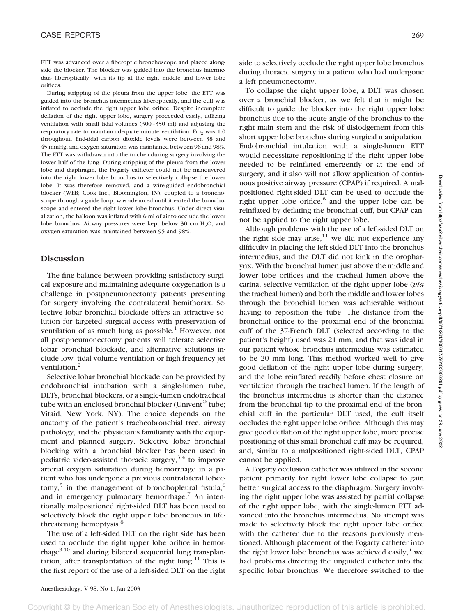ETT was advanced over a fiberoptic bronchoscope and placed alongside the blocker. The blocker was guided into the bronchus intermedius fiberoptically, with its tip at the right middle and lower lobe orifices.

During stripping of the pleura from the upper lobe, the ETT was guided into the bronchus intermedius fiberoptically, and the cuff was inflated to occlude the right upper lobe orifice. Despite incomplete deflation of the right upper lobe, surgery proceeded easily, utilizing ventilation with small tidal volumes (300–350 ml) and adjusting the respiratory rate to maintain adequate minute ventilation. Fig. was  $1.0$ throughout. End-tidal carbon dioxide levels were between 38 and 45 mmHg, and oxygen saturation was maintained between 96 and 98%. The ETT was withdrawn into the trachea during surgery involving the lower half of the lung. During stripping of the pleura from the lower lobe and diaphragm, the Fogarty catheter could not be maneuvered into the right lower lobe bronchus to selectively collapse the lower lobe. It was therefore removed, and a wire-guided endobronchial blocker (WEB; Cook Inc., Bloomington, IN), coupled to a bronchoscope through a guide loop, was advanced until it exited the bronchoscope and entered the right lower lobe bronchus. Under direct visualization, the balloon was inflated with 6 ml of air to occlude the lower lobe bronchus. Airway pressures were kept below  $30 \text{ cm H}_2\text{O}$ , and oxygen saturation was maintained between 95 and 98%.

## **Discussion**

The fine balance between providing satisfactory surgical exposure and maintaining adequate oxygenation is a challenge in postpneumonectomy patients presenting for surgery involving the contralateral hemithorax. Selective lobar bronchial blockade offers an attractive solution for targeted surgical access with preservation of ventilation of as much lung as possible.<sup>1</sup> However, not all postpneumonectomy patients will tolerate selective lobar bronchial blockade, and alternative solutions include low–tidal volume ventilation or high-frequency jet ventilation.<sup>2</sup>

Selective lobar bronchial blockade can be provided by endobronchial intubation with a single-lumen tube, DLTs, bronchial blockers, or a single-lumen endotracheal tube with an enclosed bronchial blocker (Univent<sup>®</sup> tube; Vitaid, New York, NY). The choice depends on the anatomy of the patient's tracheobronchial tree, airway pathology, and the physician's familiarity with the equipment and planned surgery. Selective lobar bronchial blocking with a bronchial blocker has been used in pediatric video-assisted thoracic surgery,  $3,4$  to improve arterial oxygen saturation during hemorrhage in a patient who has undergone a previous contralateral lobectomy,<sup>5</sup> in the management of bronchopleural fistula,<sup>6</sup> and in emergency pulmonary hemorrhage.<sup>7</sup> An intentionally malpositioned right-sided DLT has been used to selectively block the right upper lobe bronchus in lifethreatening hemoptysis.<sup>8</sup>

The use of a left-sided DLT on the right side has been used to occlude the right upper lobe orifice in hemorrhage $9,10$  and during bilateral sequential lung transplantation, after transplantation of the right lung.<sup>11</sup> This is the first report of the use of a left-sided DLT on the right

side to selectively occlude the right upper lobe bronchus during thoracic surgery in a patient who had undergone a left pneumonectomy.

To collapse the right upper lobe, a DLT was chosen over a bronchial blocker, as we felt that it might be difficult to guide the blocker into the right upper lobe bronchus due to the acute angle of the bronchus to the right main stem and the risk of dislodgement from this short upper lobe bronchus during surgical manipulation. Endobronchial intubation with a single-lumen ETT would necessitate repositioning if the right upper lobe needed to be reinflated emergently or at the end of surgery, and it also will not allow application of continuous positive airway pressure (CPAP) if required. A malpositioned right-sided DLT can be used to occlude the right upper lobe orifice, $8$  and the upper lobe can be reinflated by deflating the bronchial cuff, but CPAP cannot be applied to the right upper lobe.

Although problems with the use of a left-sided DLT on the right side may arise,  $11$  we did not experience any difficulty in placing the left-sided DLT into the bronchus intermedius, and the DLT did not kink in the oropharynx. With the bronchial lumen just above the middle and lower lobe orifices and the tracheal lumen above the carina, selective ventilation of the right upper lobe (*via* the tracheal lumen) and both the middle and lower lobes through the bronchial lumen was achievable without having to reposition the tube. The distance from the bronchial orifice to the proximal end of the bronchial cuff of the 37-French DLT (selected according to the patient's height) used was 21 mm, and that was ideal in our patient whose bronchus intermedius was estimated to be 20 mm long. This method worked well to give good deflation of the right upper lobe during surgery, and the lobe reinflated readily before chest closure on ventilation through the tracheal lumen. If the length of the bronchus intermedius is shorter than the distance from the bronchial tip to the proximal end of the bronchial cuff in the particular DLT used, the cuff itself occludes the right upper lobe orifice. Although this may give good deflation of the right upper lobe, more precise positioning of this small bronchial cuff may be required, and, similar to a malpositioned right-sided DLT, CPAP cannot be applied.

A Fogarty occlusion catheter was utilized in the second patient primarily for right lower lobe collapse to gain better surgical access to the diaphragm. Surgery involving the right upper lobe was assisted by partial collapse of the right upper lobe, with the single-lumen ETT advanced into the bronchus intermedius. No attempt was made to selectively block the right upper lobe orifice with the catheter due to the reasons previously mentioned. Although placement of the Fogarty catheter into the right lower lobe bronchus was achieved easily, $4 \text{ we}$ had problems directing the unguided catheter into the specific lobar bronchus. We therefore switched to the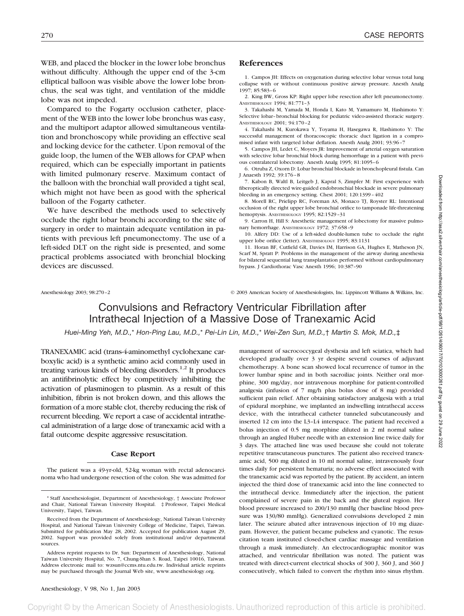WEB, and placed the blocker in the lower lobe bronchus without difficulty. Although the upper end of the 3-cm elliptical balloon was visible above the lower lobe bronchus, the seal was tight, and ventilation of the middle lobe was not impeded.

Compared to the Fogarty occlusion catheter, placement of the WEB into the lower lobe bronchus was easy, and the multiport adaptor allowed simultaneous ventilation and bronchoscopy while providing an effective seal and locking device for the catheter. Upon removal of the guide loop, the lumen of the WEB allows for CPAP when required, which can be especially important in patients with limited pulmonary reserve. Maximum contact of the balloon with the bronchial wall provided a tight seal, which might not have been as good with the spherical balloon of the Fogarty catheter.

We have described the methods used to selectively occlude the right lobar bronchi according to the site of surgery in order to maintain adequate ventilation in patients with previous left pneumonectomy. The use of a left-sided DLT on the right side is presented, and some practical problems associated with bronchial blocking devices are discussed.

## **References**

1. Campos JH: Effects on oxygenation during selective lobar versus total lung collapse with or without continuous positive airway pressure. Anesth Analg 1997; 85:583–6

2. King BW, Gross KP: Right upper lobe resection after left pneumonectomy. ANESTHESIOLOGY 1994; 81:771–3

3. Takahashi M, Yamada M, Honda I, Kato M, Yamamuro M, Hashimoto Y: Selective lobar–bronchial blocking for pediatric video-assisted thoracic surgery. ANESTHESIOLOGY 2001; 94:170–2

4. Takahashi M, Kurokawa Y, Toyama H, Hasegawa R, Hashimoto Y: The successful management of thoracoscopic thoracic duct ligation in a compromised infant with targeted lobar deflation. Anesth Analg 2001; 93:96–7

5. Campos JH, Ledet C, Moyers JR: Improvement of arterial oxygen saturation with selective lobar bronchial block during hemorrhage in a patient with previous contralateral lobectomy. Anesth Analg 1995; 81:1095–6

6. Otruba Z, Oxorn D: Lobar bronchial blockade in bronchopleural fistula. Can J Anaesth 1992; 39:176–8

7. Kabon B, Waltl B, Leitgeb J, Kapral S, Zimpfer M: First experience with fiberoptically directed wire-guided endobronchial blockade in severe pulmonary bleeding in an emergency setting. Chest 2001; 120:1399–402

8. Morell RC, Prielipp RC, Foreman AS, Monaco TJ, Royster RL: Intentional occlusion of the right upper lobe bronchial orifice to tamponade life-threatening hemoptysis. ANESTHESIOLOGY 1995; 82:1529–31

9. Carron H, Hill S: Anesthetic management of lobectomy for massive pulmonary hemorrhage. ANESTHESIOLOGY 1972; 37:658–9

10. Alfery DD: Use of a left-sided double-lumen tube to occlude the right upper lobe orifice (letter). ANESTHESIOLOGY 1995; 83:1131

11. Horan BF, Cutfield GR, Davies IM, Harrison GA, Hughes E, Matheson JN, Scarf M, Spratt P: Problems in the management of the airway during anesthesia for bilateral sequential lung transplantation performed without cardiopulmonary bypass. J Cardiothorac Vasc Anesth 1996; 10:387–90

Anesthesiology 2003; 98:270–2 © 2003 American Society of Anesthesiologists, Inc. Lippincott Williams & Wilkins, Inc.

# Convulsions and Refractory Ventricular Fibrillation after Intrathecal Injection of a Massive Dose of Tranexamic Acid

*Huei-Ming Yeh, M.D.,*\* *Hon-Ping Lau, M.D.,*\* *Pei-Lin Lin, M.D.,*\* *Wei-Zen Sun, M.D.,*† *Martin S. Mok, M.D.,*‡

TRANEXAMIC acid (trans-4-aminomethyl cyclohexane carboxylic acid) is a synthetic amino acid commonly used in treating various kinds of bleeding disorders.<sup>1,2</sup> It produces an antifibrinolytic effect by competitively inhibiting the activation of plasminogen to plasmin. As a result of this inhibition, fibrin is not broken down, and this allows the formation of a more stable clot, thereby reducing the risk of recurrent bleeding. We report a case of accidental intrathecal administration of a large dose of tranexamic acid with a fatal outcome despite aggressive resuscitation.

#### **Case Report**

The patient was a 49-yr-old, 52-kg woman with rectal adenocarcinoma who had undergone resection of the colon. She was admitted for

Anesthesiology, V 98, No 1, Jan 2003

management of sacrococcygeal dysthesia and left sciatica, which had developed gradually over 3 yr despite several courses of adjuvant chemotherapy. A bone scan showed local recurrence of tumor in the lower lumbar spine and in both sacroiliac joints. Neither oral morphine, 300 mg/day, nor intravenous morphine for patient-controlled analgesia (infusion of 7 mg/h plus bolus dose of 8 mg) provided sufficient pain relief. After obtaining satisfactory analgesia with a trial of epidural morphine, we implanted an indwelling intrathecal access device, with the intrathecal catheter tunneled subcutaneously and inserted 12 cm into the L3–L4 interspace. The patient had received a bolus injection of 0.5 mg morphine diluted in 2 ml normal saline through an angled Huber needle with an extension line twice daily for 3 days. The attached line was used because she could not tolerate repetitive transcutaneous punctures. The patient also received tranexamic acid, 500 mg diluted in 10 ml normal saline, intravenously four times daily for persistent hematuria; no adverse effect associated with the tranexamic acid was reported by the patient. By accident, an intern injected the third dose of tranexamic acid into the line connected to the intrathecal device. Immediately after the injection, the patient complained of severe pain in the back and the gluteal region. Her blood pressure increased to 200/130 mmHg (her baseline blood pressure was 130/80 mmHg). Generalized convulsions developed 2 min later. The seizure abated after intravenous injection of 10 mg diazepam. However, the patient became pulseless and cyanotic. The resuscitation team instituted closed-chest cardiac massage and ventilation through a mask immediately. An electrocardiographic monitor was attached, and ventricular fibrillation was noted. The patient was treated with direct-current electrical shocks of 300 J, 360 J, and 360 J consecutively, which failed to convert the rhythm into sinus rhythm.

<sup>\*</sup> Staff Anesthesiologist, Department of Anesthesiology, † Associate Professor and Chair, National Taiwan University Hospital. ‡ Professor, Taipei Medical University, Taipei, Taiwan.

Received from the Department of Anesthesiology, National Taiwan University Hospital, and National Taiwan University College of Medicine, Taipei, Taiwan. Submitted for publication May 28, 2002. Accepted for publication August 29, 2002. Support was provided solely from institutional and/or departmental sources.

Address reprint requests to Dr. Sun: Department of Anesthesiology, National Taiwan University Hospital, No. 7, Chung-Shan S. Road, Taipei 10016, Taiwan. Address electronic mail to: wzsun@ccms.ntu.edu.tw. Individual article reprints may be purchased through the Journal Web site, www.anesthesiology.org.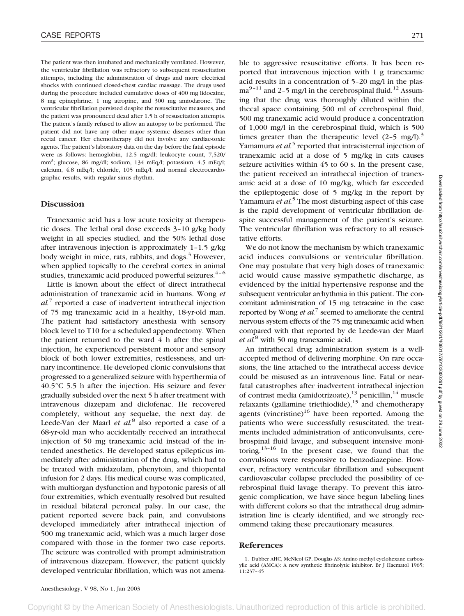The patient was then intubated and mechanically ventilated. However, the ventricular fibrillation was refractory to subsequent resuscitation attempts, including the administration of drugs and more electrical shocks with continued closed-chest cardiac massage. The drugs used during the procedure included cumulative doses of 400 mg lidocaine, 8 mg epinephrine, 1 mg atropine, and 300 mg amiodarone. The ventricular fibrillation persisted despite the resuscitative measures, and the patient was pronounced dead after 1.5 h of resuscitation attempts. The patient's family refused to allow an autopsy to be performed. The patient did not have any other major systemic diseases other than rectal cancer. Her chemotherapy did not involve any cardiac-toxic agents. The patient's laboratory data on the day before the fatal episode were as follows: hemoglobin, 12.5 mg/dl; leukocyte count, 7,520/ mm<sup>3</sup>; glucose, 86 mg/dl; sodium, 134 mEq/l; potassium, 4.5 mEq/l; calcium, 4.8 mEq/l; chloride, 105 mEq/l; and normal electrocardiographic results, with regular sinus rhythm.

## **Discussion**

Tranexamic acid has a low acute toxicity at therapeutic doses. The lethal oral dose exceeds 3–10 g/kg body weight in all species studied, and the 50% lethal dose after intravenous injection is approximately 1–1.5 g/kg body weight in mice, rats, rabbits, and dogs. $3$  However, when applied topically to the cerebral cortex in animal studies, tranexamic acid produced powerful seizures. $4-6$ 

Little is known about the effect of direct intrathecal administration of tranexamic acid in humans. Wong *et al.*<sup>7</sup> reported a case of inadvertent intrathecal injection of 75 mg tranexamic acid in a healthy, 18-yr-old man. The patient had satisfactory anesthesia with sensory block level to T10 for a scheduled appendectomy. When the patient returned to the ward 4 h after the spinal injection, he experienced persistent motor and sensory block of both lower extremities, restlessness, and urinary incontinence. He developed clonic convulsions that progressed to a generalized seizure with hyperthermia of 40.5°C 5.5 h after the injection. His seizure and fever gradually subsided over the next 5 h after treatment with intravenous diazepam and diclofenac. He recovered completely, without any sequelae, the next day. de Leede-Van der Maarl *et al.*<sup>8</sup> also reported a case of a 68-yr-old man who accidentally received an intrathecal injection of 50 mg tranexamic acid instead of the intended anesthetics. He developed status epilepticus immediately after administration of the drug, which had to be treated with midazolam, phenytoin, and thiopental infusion for 2 days. His medical course was complicated, with multiorgan dysfunction and hypotonic paresis of all four extremities, which eventually resolved but resulted in residual bilateral peroneal palsy. In our case, the patient reported severe back pain, and convulsions developed immediately after intrathecal injection of 500 mg tranexamic acid, which was a much larger dose compared with those in the former two case reports. The seizure was controlled with prompt administration of intravenous diazepam. However, the patient quickly developed ventricular fibrillation, which was not amenable to aggressive resuscitative efforts. It has been reported that intravenous injection with 1 g tranexamic acid results in a concentration of 5–20 mg/l in the plas $ma^{9-11}$  and 2–5 mg/l in the cerebrospinal fluid.<sup>12</sup> Assuming that the drug was thoroughly diluted within the thecal space containing 500 ml of cerebrospinal fluid, 500 mg tranexamic acid would produce a concentration of 1,000 mg/l in the cerebrospinal fluid, which is 500 times greater than the therapeutic level  $(2-5 \text{ mg/l})^3$ Yamamura *et al.*<sup>5</sup> reported that intracisternal injection of tranexamic acid at a dose of 5 mg/kg in cats causes seizure activities within 45 to 60 s. In the present case, the patient received an intrathecal injection of tranexamic acid at a dose of 10 mg/kg, which far exceeded the epileptogenic dose of 5 mg/kg in the report by Yamamura *et al.*<sup>5</sup> The most disturbing aspect of this case is the rapid development of ventricular fibrillation despite successful management of the patient's seizure. The ventricular fibrillation was refractory to all resuscitative efforts.

We do not know the mechanism by which tranexamic acid induces convulsions or ventricular fibrillation. One may postulate that very high doses of tranexamic acid would cause massive sympathetic discharge, as evidenced by the initial hypertensive response and the subsequent ventricular arrhythmia in this patient. The concomitant administration of 15 mg tetracaine in the case reported by Wong *et al.*<sup>7</sup> seemed to ameliorate the central nervous system effects of the 75 mg tranexamic acid when compared with that reported by de Leede-van der Maarl *et al.*<sup>8</sup> with 50 mg tranexamic acid.

An intrathecal drug administration system is a wellaccepted method of delivering morphine. On rare occasions, the line attached to the intrathecal access device could be misused as an intravenous line. Fatal or nearfatal catastrophes after inadvertent intrathecal injection of contrast media (amidotrizoate), $^{13}$  penicillin, $^{14}$  muscle relaxants (gallamine triethiodide), $15$  and chemotherapy agents (vincristine) $16$  have been reported. Among the patients who were successfully resuscitated, the treatments included administration of anticonvulsants, cerebrospinal fluid lavage, and subsequent intensive monitoring.<sup>13–16</sup> In the present case, we found that the convulsions were responsive to benzodiazepine. However, refractory ventricular fibrillation and subsequent cardiovascular collapse precluded the possibility of cerebrospinal fluid lavage therapy. To prevent this iatrogenic complication, we have since begun labeling lines with different colors so that the intrathecal drug administration line is clearly identified, and we strongly recommend taking these precautionary measures.

## **References**

<sup>1.</sup> Dubber AHC, McNicol GP, Douglas AS: Amino methyl cyclohexane carboxylic acid (AMCA): A new synthetic fibrinolytic inhibitor. Br J Haematol 1965; 11:237–45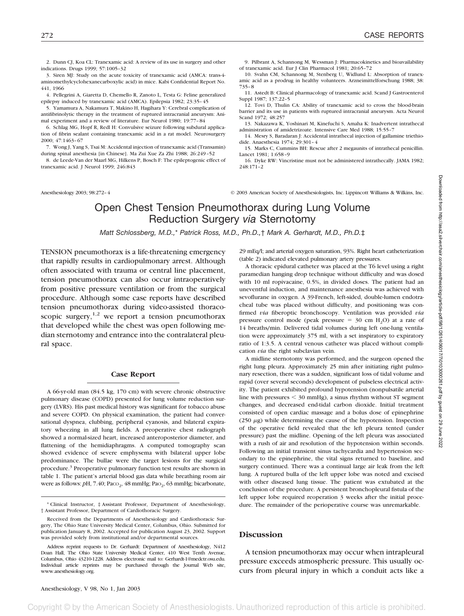2. Dunn CJ, Koa CL: Tranexamic acid: A review of its use in surgery and other indications. Drugs 1999; 57:1005–32

3. Siren MJ: Study on the acute toxicity of tranexamic acid (AMCA: trans-4 aminomethylcyclohexanecarboxylic acid) in mice. Kabi Confidential Report No. 441, 1966

4. Pellegrini A, Giaretta D, Chemello R, Zanoto L, Testa G: Feline generalized epilepsy induced by tranexamic acid (AMCA). Epilepsia 1982; 23:35–45

5. Yamamura A, Nakamura T, Makino H, Hagihara Y: Cerebral complication of antifibrinolytic therapy in the treatment of ruptured intracranial aneurysm: Animal experiment and a review of literature. Eur Neurol 1980; 19:77–84

6. Schlag MG, Hopf R, Redl H: Convulsive seizure following subdural application of fibrin sealant containing tranexamic acid in a rat model. Neurosurgery 2000; 47:1463–67

7. Wong J, Yang S, Tsai M: Accidental injection of tranexamic acid (Transamin) during spinal anesthesia [in Chinese]. Ma Zui Xue Za Zhi 1988; 26:249–52

8. de Leede-Van der Maarl MG, Hilkens P, Bosch F: The epileptogenic effect of tranexamic acid. J Neurol 1999; 246:843

9. Pilbrant A, Schannong M, Wessman J: Pharmacokinetics and bioavailability of tranexamic acid. Eur J Clin Pharmacol 1981; 20:65–72

10. Svahn CM, Schannong M, Stenberg U, Widlund L: Absorption of tranexamic acid as a prodrug in healthy volunteers. Arzneimittelforschung 1988; 38: 735–8

11. Astedt B: Clinical pharmacology of tranexamic acid. Scand J Gastroenterol Suppl 1987; 137:22–5

12. Tovi D, Thulin CA: Ability of tranexamic acid to cross the blood-brain barrier and its use in patients with ruptured intracranial aneurysm. Acta Neurol Scand 1972; 48:257

13. Nakazawa K, Yoshinari M, Kinefuchi S, Amaha K: Inadvertent intrathecal administration of amidetrizoate. Intensive Care Med 1988; 15:55–7

14. Mesry S, Baradaran J: Accidental intrathecal injection of gallamine triethiodide. Anaesthesia 1974; 29:301–4

15. Marks C, Cummins BH: Rescue after 2 megaunits of intrathecal penicillin. Lancet 1981; 1:658–9

16. Dyke RW: Vincristine must not be administered intrathecally. JAMA 1982; 248:171–2

Anesthesiology 2003; 98:272–4 © 2003 American Society of Anesthesiologists, Inc. Lippincott Williams & Wilkins, Inc.

# Open Chest Tension Pneumothorax during Lung Volume Reduction Surgery *via* Sternotomy

*Matt Schlossberg, M.D.,*\* *Patrick Ross, M.D., Ph.D.,*† *Mark A. Gerhardt, M.D., Ph.D.*‡

TENSION pneumothorax is a life-threatening emergency that rapidly results in cardiopulmonary arrest. Although often associated with trauma or central line placement, tension pneumothorax can also occur intraoperatively from positive pressure ventilation or from the surgical procedure. Although some case reports have described tension pneumothorax during video-assisted thoracoscopic surgery, $1,2$  we report a tension pneumothorax that developed while the chest was open following median sternotomy and entrance into the contralateral pleural space.

### **Case Report**

A 66-yr-old man (84.5 kg, 170 cm) with severe chronic obstructive pulmonary disease (COPD) presented for lung volume reduction surgery (LVRS). His past medical history was significant for tobacco abuse and severe COPD. On physical examination, the patient had conversational dyspnea, clubbing, peripheral cyanosis, and bilateral expiratory wheezing in all lung fields. A preoperative chest radiograph showed a normal-sized heart, increased anteroposterior diameter, and flattening of the hemidiaphragms. A computed tomography scan showed evidence of severe emphysema with bilateral upper lobe predominance. The bullae were the target lesions for the surgical procedure.3 Preoperative pulmonary function test results are shown in table 1. The patient's arterial blood gas data while breathing room air were as follows: *pH*, 7.40; Paco<sub>2</sub>, 48 mmHg; Pao<sub>2</sub>, 63 mmHg; bicarbonate,

29 mEq/l; and arterial oxygen saturation, 93%. Right heart catheterization (table 2) indicated elevated pulmonary artery pressures.

A thoracic epidural catheter was placed at the T6 level using a right paramedian hanging drop technique without difficulty and was dosed with 10 ml ropivacaine, 0.5%, in divided doses. The patient had an uneventful induction, and maintenance anesthesia was achieved with sevoflurane in oxygen. A 39-French, left-sided, double-lumen endotracheal tube was placed without difficulty, and positioning was confirmed *via* fiberoptic bronchoscopy. Ventilation was provided *via* pressure control mode (peak pressure  $=$  30 cm H<sub>2</sub>O) at a rate of 14 breaths/min. Delivered tidal volumes during left one-lung ventilation were approximately 375 ml, with a set inspiratory to expiratory ratio of 1:3.5. A central venous catheter was placed without complication *via* the right subclavian vein.

A midline sternotomy was performed, and the surgeon opened the right lung pleura. Approximately 25 min after initiating right pulmonary resection, there was a sudden, significant loss of tidal volume and rapid (over several seconds) development of pulseless electrical activity. The patient exhibited profound hypotension (nonpulsatile arterial line with pressures  $\leq$  30 mmHg), a sinus rhythm without ST segment changes, and decreased end-tidal carbon dioxide. Initial treatment consisted of open cardiac massage and a bolus dose of epinephrine ( $250 \mu g$ ) while determining the cause of the hypotension. Inspection of the operative field revealed that the left pleura tented (under pressure) past the midline. Opening of the left pleura was associated with a rush of air and resolution of the hypotension within seconds. Following an initial transient sinus tachycardia and hypertension secondary to the epinephrine, the vital signs returned to baseline, and surgery continued. There was a continual large air leak from the left lung. A ruptured bulla of the left upper lobe was noted and excised with other diseased lung tissue. The patient was extubated at the conclusion of the procedure. A persistent bronchopleural fistula of the left upper lobe required reoperation 3 weeks after the initial procedure. The remainder of the perioperative course was unremarkable.

## **Discussion**

A tension pneumothorax may occur when intrapleural pressure exceeds atmospheric pressure. This usually occurs from pleural injury in which a conduit acts like a

convright © by the American Society of Anesthesiologists. Unauthorized reproduction of this article is prohibited

<sup>\*</sup> Clinical Instructor, ‡ Assistant Professor, Department of Anesthesiology, † Assistant Professor, Department of Cardiothoracic Surgery.

Received from the Departments of Anesthesiology and Cardiothoracic Surgery, The Ohio State University Medical Center, Columbus, Ohio. Submitted for publication January 8, 2002. Accepted for publication August 23, 2002. Support was provided solely from institutional and/or departmental sources.

Address reprint requests to Dr. Gerhardt: Department of Anesthesiology, N412 Doan Hall, The Ohio State University Medical Center, 410 West Tenth Avenue, Columbus, Ohio 43210-1228. Address electronic mail to: Gerhardt-1@medctr.osu.edu. Individual article reprints may be purchased through the Journal Web site, www.anesthesiology.org.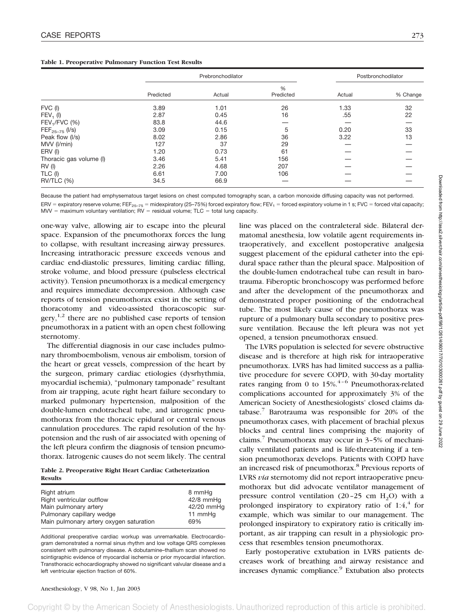|                         | Prebronchodilator |        |                | Postbronchodilator |          |
|-------------------------|-------------------|--------|----------------|--------------------|----------|
|                         | Predicted         | Actual | %<br>Predicted | Actual             | % Change |
| FVC (I)                 | 3.89              | 1.01   | 26             | 1.33               | 32       |
| $FEV_1$ (I)             | 2.87              | 0.45   | 16             | .55                | 22       |
| $FEV1/FVC$ (%)          | 83.8              | 44.6   |                |                    |          |
| $FEF_{25-75}$ (I/s)     | 3.09              | 0.15   | 5              | 0.20               | 33       |
| Peak flow (I/s)         | 8.02              | 2.86   | 36             | 3.22               | 13       |
| MVV (I/min)             | 127               | 37     | 29             |                    |          |
| ERV (I)                 | 1.20              | 0.73   | 61             |                    |          |
| Thoracic gas volume (I) | 3.46              | 5.41   | 156            |                    |          |
| RV(1)                   | 2.26              | 4.68   | 207            |                    |          |
| TLC (I)                 | 6.61              | 7.00   | 106            |                    |          |
| <b>RV/TLC (%)</b>       | 34.5              | 66.9   |                |                    |          |

Because the patient had emphysematous target lesions on chest computed tomography scan, a carbon monoxide diffusing capacity was not performed. ERV = expiratory reserve volume; FEF<sub>25–75</sub> = midexpiratory (25–75%) forced expiratory flow; FEV<sub>1</sub> = forced expiratory volume in 1 s; FVC = forced vital capacity;  $MV = maximum$  voluntary ventilation;  $RV =$  residual volume;  $TLC =$  total lung capacity.

one-way valve, allowing air to escape into the pleural space. Expansion of the pneumothorax forces the lung to collapse, with resultant increasing airway pressures. Increasing intrathoracic pressure exceeds venous and cardiac end-diastolic pressures, limiting cardiac filling, stroke volume, and blood pressure (pulseless electrical activity). Tension pneumothorax is a medical emergency and requires immediate decompression. Although case reports of tension pneumothorax exist in the setting of thoracotomy and video-assisted thoracoscopic surgery,  $1,2$  there are no published case reports of tension pneumothorax in a patient with an open chest following sternotomy.

The differential diagnosis in our case includes pulmonary thromboembolism, venous air embolism, torsion of the heart or great vessels, compression of the heart by the surgeon, primary cardiac etiologies (dysrhythmia, myocardial ischemia), "pulmonary tamponade" resultant from air trapping, acute right heart failure secondary to marked pulmonary hypertension, malposition of the double-lumen endotracheal tube, and iatrogenic pneumothorax from the thoracic epidural or central venous cannulation procedures. The rapid resolution of the hypotension and the rush of air associated with opening of the left pleura confirm the diagnosis of tension pneumothorax. Iatrogenic causes do not seem likely. The central

**Table 2. Preoperative Right Heart Cardiac Catheterization Results**

| Right atrium                            | 8 mmHq      |
|-----------------------------------------|-------------|
| Right ventricular outflow               | $42/8$ mmHq |
| Main pulmonary artery                   | 42/20 mmHq  |
| Pulmonary capillary wedge               | 11 mmHg     |
| Main pulmonary artery oxygen saturation | 69%         |
|                                         |             |

Additional preoperative cardiac workup was unremarkable. Electrocardiogram demonstrated a normal sinus rhythm and low voltage QRS complexes consistent with pulmonary disease. A dobutamine–thallium scan showed no scintigraphic evidence of myocardial ischemia or prior myocardial infarction. Transthoracic echocardiography showed no significant valvular disease and a left ventricular ejection fraction of 60%.

line was placed on the contraleteral side. Bilateral dermatomal anesthesia, low volatile agent requirements intraoperatively, and excellent postoperative analgesia suggest placement of the epidural catheter into the epidural space rather than the pleural space. Malposition of the double-lumen endotracheal tube can result in barotrauma. Fiberoptic bronchoscopy was performed before and after the development of the pneumothorax and demonstrated proper positioning of the endotracheal tube. The most likely cause of the pneumothorax was rupture of a pulmonary bulla secondary to positive pressure ventilation. Because the left pleura was not yet opened, a tension pneumothorax ensued.

The LVRS population is selected for severe obstructive disease and is therefore at high risk for intraoperative pneumothorax. LVRS has had limited success as a palliative procedure for severe COPD, with 30-day mortality rates ranging from 0 to  $15\%$ .<sup>4-6</sup> Pneumothorax-related complications accounted for approximately 3% of the American Society of Anesthesiologists' closed claims database. $\frac{7}{1}$  Barotrauma was responsible for 20% of the pneumothorax cases, with placement of brachial plexus blocks and central lines comprising the majority of claims.<sup>7</sup> Pneumothorax may occur in  $3-5%$  of mechanically ventilated patients and is life-threatening if a tension pneumothorax develops. Patients with COPD have an increased risk of pneumothorax.<sup>8</sup> Previous reports of LVRS *via* sternotomy did not report intraoperative pneumothorax but did advocate ventilator management of pressure control ventilation  $(20-25 \text{ cm } H_2O)$  with a prolonged inspiratory to expiratory ratio of  $1:4<sup>4</sup>$  for example, which was similar to our management. The prolonged inspiratory to expiratory ratio is critically important, as air trapping can result in a physiologic process that resembles tension pneumothorax.

Early postoperative extubation in LVRS patients decreases work of breathing and airway resistance and increases dynamic compliance.<sup>9</sup> Extubation also protects